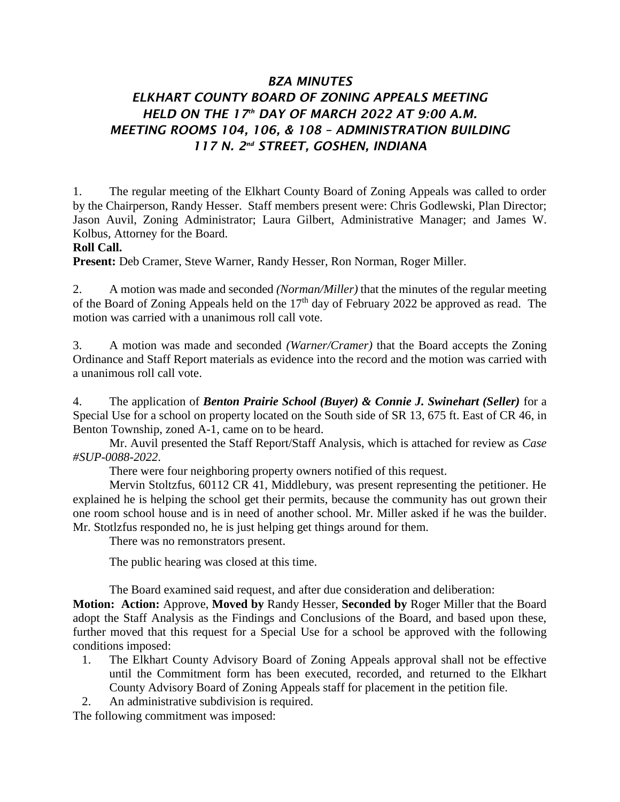## *BZA MINUTES ELKHART COUNTY BOARD OF ZONING APPEALS MEETING HELD ON THE 17th DAY OF MARCH 2022 AT 9:00 A.M. MEETING ROOMS 104, 106, & 108 – ADMINISTRATION BUILDING 117 N. 2nd STREET, GOSHEN, INDIANA*

1. The regular meeting of the Elkhart County Board of Zoning Appeals was called to order by the Chairperson, Randy Hesser. Staff members present were: Chris Godlewski, Plan Director; Jason Auvil, Zoning Administrator; Laura Gilbert, Administrative Manager; and James W. Kolbus, Attorney for the Board.

## **Roll Call.**

**Present:** Deb Cramer, Steve Warner, Randy Hesser, Ron Norman, Roger Miller.

2. A motion was made and seconded *(Norman/Miller)* that the minutes of the regular meeting of the Board of Zoning Appeals held on the  $17<sup>th</sup>$  day of February 2022 be approved as read. The motion was carried with a unanimous roll call vote.

3. A motion was made and seconded *(Warner/Cramer)* that the Board accepts the Zoning Ordinance and Staff Report materials as evidence into the record and the motion was carried with a unanimous roll call vote.

4. The application of *Benton Prairie School (Buyer) & Connie J. Swinehart (Seller)* for a Special Use for a school on property located on the South side of SR 13, 675 ft. East of CR 46, in Benton Township, zoned A-1, came on to be heard.

Mr. Auvil presented the Staff Report/Staff Analysis, which is attached for review as *Case #SUP-0088-2022*.

There were four neighboring property owners notified of this request.

Mervin Stoltzfus, 60112 CR 41, Middlebury, was present representing the petitioner. He explained he is helping the school get their permits, because the community has out grown their one room school house and is in need of another school. Mr. Miller asked if he was the builder. Mr. Stotlzfus responded no, he is just helping get things around for them.

There was no remonstrators present.

The public hearing was closed at this time.

The Board examined said request, and after due consideration and deliberation:

**Motion: Action:** Approve, **Moved by** Randy Hesser, **Seconded by** Roger Miller that the Board adopt the Staff Analysis as the Findings and Conclusions of the Board, and based upon these, further moved that this request for a Special Use for a school be approved with the following conditions imposed:

- 1. The Elkhart County Advisory Board of Zoning Appeals approval shall not be effective until the Commitment form has been executed, recorded, and returned to the Elkhart County Advisory Board of Zoning Appeals staff for placement in the petition file.
- 2. An administrative subdivision is required.

The following commitment was imposed: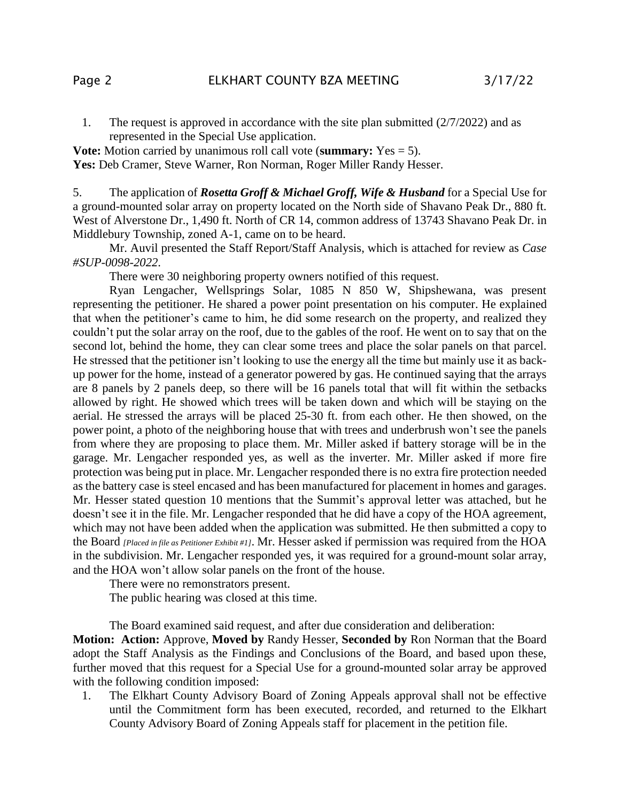1. The request is approved in accordance with the site plan submitted (2/7/2022) and as represented in the Special Use application.

**Vote:** Motion carried by unanimous roll call vote (**summary:** Yes = 5). Yes: Deb Cramer, Steve Warner, Ron Norman, Roger Miller Randy Hesser.

5. The application of *Rosetta Groff & Michael Groff, Wife & Husband* for a Special Use for a ground-mounted solar array on property located on the North side of Shavano Peak Dr., 880 ft. West of Alverstone Dr., 1,490 ft. North of CR 14, common address of 13743 Shavano Peak Dr. in Middlebury Township, zoned A-1, came on to be heard.

Mr. Auvil presented the Staff Report/Staff Analysis, which is attached for review as *Case #SUP-0098-2022*.

There were 30 neighboring property owners notified of this request.

Ryan Lengacher, Wellsprings Solar, 1085 N 850 W, Shipshewana, was present representing the petitioner. He shared a power point presentation on his computer. He explained that when the petitioner's came to him, he did some research on the property, and realized they couldn't put the solar array on the roof, due to the gables of the roof. He went on to say that on the second lot, behind the home, they can clear some trees and place the solar panels on that parcel. He stressed that the petitioner isn't looking to use the energy all the time but mainly use it as backup power for the home, instead of a generator powered by gas. He continued saying that the arrays are 8 panels by 2 panels deep, so there will be 16 panels total that will fit within the setbacks allowed by right. He showed which trees will be taken down and which will be staying on the aerial. He stressed the arrays will be placed 25-30 ft. from each other. He then showed, on the power point, a photo of the neighboring house that with trees and underbrush won't see the panels from where they are proposing to place them. Mr. Miller asked if battery storage will be in the garage. Mr. Lengacher responded yes, as well as the inverter. Mr. Miller asked if more fire protection was being put in place. Mr. Lengacher responded there is no extra fire protection needed as the battery case is steel encased and has been manufactured for placement in homes and garages. Mr. Hesser stated question 10 mentions that the Summit's approval letter was attached, but he doesn't see it in the file. Mr. Lengacher responded that he did have a copy of the HOA agreement, which may not have been added when the application was submitted. He then submitted a copy to the Board *[Placed in file as Petitioner Exhibit #1]*. Mr. Hesser asked if permission was required from the HOA in the subdivision. Mr. Lengacher responded yes, it was required for a ground-mount solar array, and the HOA won't allow solar panels on the front of the house.

There were no remonstrators present.

The public hearing was closed at this time.

The Board examined said request, and after due consideration and deliberation:

**Motion: Action:** Approve, **Moved by** Randy Hesser, **Seconded by** Ron Norman that the Board adopt the Staff Analysis as the Findings and Conclusions of the Board, and based upon these, further moved that this request for a Special Use for a ground-mounted solar array be approved with the following condition imposed:

1. The Elkhart County Advisory Board of Zoning Appeals approval shall not be effective until the Commitment form has been executed, recorded, and returned to the Elkhart County Advisory Board of Zoning Appeals staff for placement in the petition file.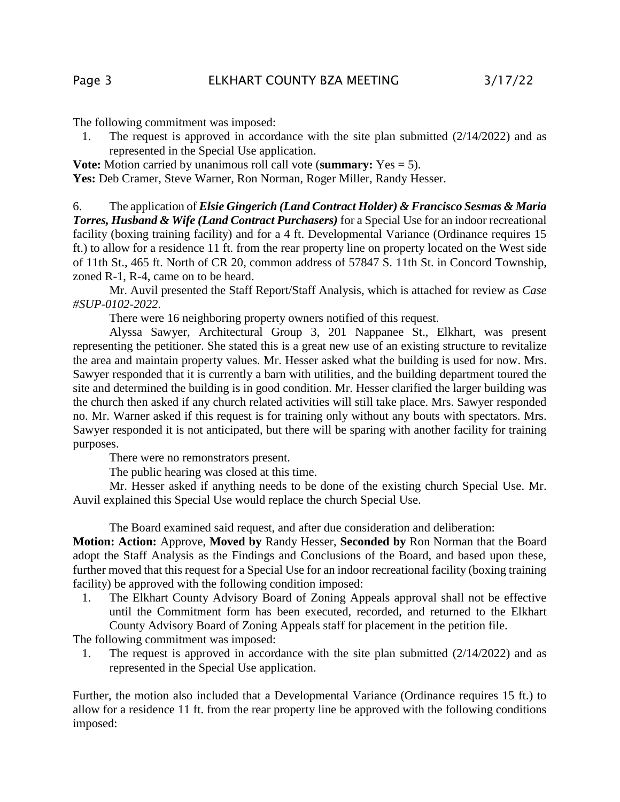The following commitment was imposed:

1. The request is approved in accordance with the site plan submitted (2/14/2022) and as represented in the Special Use application.

**Vote:** Motion carried by unanimous roll call vote (**summary:** Yes = 5).

Yes: Deb Cramer, Steve Warner, Ron Norman, Roger Miller, Randy Hesser.

6. The application of *Elsie Gingerich (Land Contract Holder) & Francisco Sesmas & Maria Torres, Husband & Wife (Land Contract Purchasers)* for a Special Use for an indoor recreational facility (boxing training facility) and for a 4 ft. Developmental Variance (Ordinance requires 15 ft.) to allow for a residence 11 ft. from the rear property line on property located on the West side of 11th St., 465 ft. North of CR 20, common address of 57847 S. 11th St. in Concord Township, zoned R-1, R-4, came on to be heard.

Mr. Auvil presented the Staff Report/Staff Analysis, which is attached for review as *Case #SUP-0102-2022*.

There were 16 neighboring property owners notified of this request.

Alyssa Sawyer, Architectural Group 3, 201 Nappanee St., Elkhart, was present representing the petitioner. She stated this is a great new use of an existing structure to revitalize the area and maintain property values. Mr. Hesser asked what the building is used for now. Mrs. Sawyer responded that it is currently a barn with utilities, and the building department toured the site and determined the building is in good condition. Mr. Hesser clarified the larger building was the church then asked if any church related activities will still take place. Mrs. Sawyer responded no. Mr. Warner asked if this request is for training only without any bouts with spectators. Mrs. Sawyer responded it is not anticipated, but there will be sparing with another facility for training purposes.

There were no remonstrators present.

The public hearing was closed at this time.

Mr. Hesser asked if anything needs to be done of the existing church Special Use. Mr. Auvil explained this Special Use would replace the church Special Use.

The Board examined said request, and after due consideration and deliberation:

**Motion: Action:** Approve, **Moved by** Randy Hesser, **Seconded by** Ron Norman that the Board adopt the Staff Analysis as the Findings and Conclusions of the Board, and based upon these, further moved that this request for a Special Use for an indoor recreational facility (boxing training facility) be approved with the following condition imposed:

1. The Elkhart County Advisory Board of Zoning Appeals approval shall not be effective until the Commitment form has been executed, recorded, and returned to the Elkhart County Advisory Board of Zoning Appeals staff for placement in the petition file.

The following commitment was imposed:

1. The request is approved in accordance with the site plan submitted (2/14/2022) and as represented in the Special Use application.

Further, the motion also included that a Developmental Variance (Ordinance requires 15 ft.) to allow for a residence 11 ft. from the rear property line be approved with the following conditions imposed: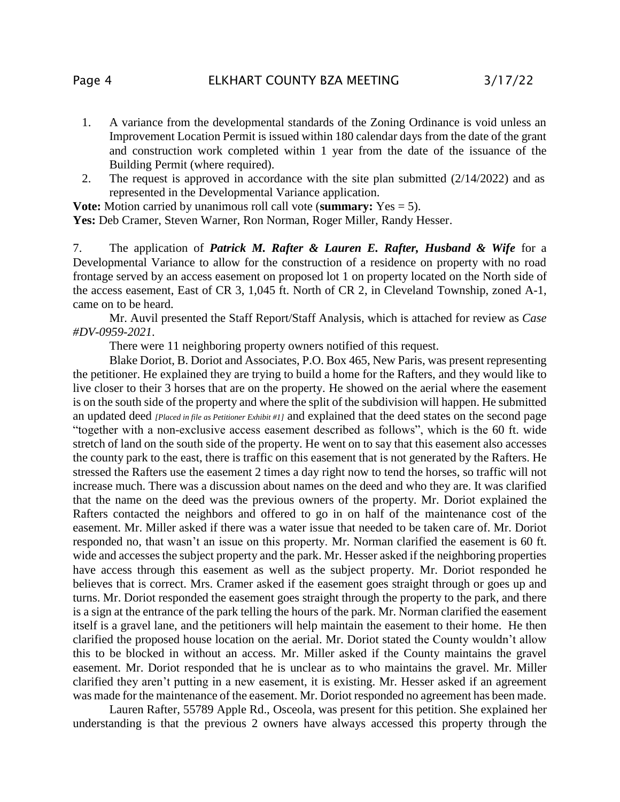- 1. A variance from the developmental standards of the Zoning Ordinance is void unless an Improvement Location Permit is issued within 180 calendar days from the date of the grant and construction work completed within 1 year from the date of the issuance of the Building Permit (where required).
- 2. The request is approved in accordance with the site plan submitted (2/14/2022) and as represented in the Developmental Variance application.

**Vote:** Motion carried by unanimous roll call vote (**summary:** Yes = 5). Yes: Deb Cramer, Steven Warner, Ron Norman, Roger Miller, Randy Hesser.

7. The application of *Patrick M. Rafter & Lauren E. Rafter, Husband & Wife* for a Developmental Variance to allow for the construction of a residence on property with no road frontage served by an access easement on proposed lot 1 on property located on the North side of the access easement, East of CR 3, 1,045 ft. North of CR 2, in Cleveland Township, zoned A-1, came on to be heard.

Mr. Auvil presented the Staff Report/Staff Analysis, which is attached for review as *Case #DV-0959-2021*.

There were 11 neighboring property owners notified of this request.

Blake Doriot, B. Doriot and Associates, P.O. Box 465, New Paris, was present representing the petitioner. He explained they are trying to build a home for the Rafters, and they would like to live closer to their 3 horses that are on the property. He showed on the aerial where the easement is on the south side of the property and where the split of the subdivision will happen. He submitted an updated deed *[Placed in file as Petitioner Exhibit #1]* and explained that the deed states on the second page "together with a non-exclusive access easement described as follows", which is the 60 ft. wide stretch of land on the south side of the property. He went on to say that this easement also accesses the county park to the east, there is traffic on this easement that is not generated by the Rafters. He stressed the Rafters use the easement 2 times a day right now to tend the horses, so traffic will not increase much. There was a discussion about names on the deed and who they are. It was clarified that the name on the deed was the previous owners of the property. Mr. Doriot explained the Rafters contacted the neighbors and offered to go in on half of the maintenance cost of the easement. Mr. Miller asked if there was a water issue that needed to be taken care of. Mr. Doriot responded no, that wasn't an issue on this property. Mr. Norman clarified the easement is 60 ft. wide and accesses the subject property and the park. Mr. Hesser asked if the neighboring properties have access through this easement as well as the subject property. Mr. Doriot responded he believes that is correct. Mrs. Cramer asked if the easement goes straight through or goes up and turns. Mr. Doriot responded the easement goes straight through the property to the park, and there is a sign at the entrance of the park telling the hours of the park. Mr. Norman clarified the easement itself is a gravel lane, and the petitioners will help maintain the easement to their home. He then clarified the proposed house location on the aerial. Mr. Doriot stated the County wouldn't allow this to be blocked in without an access. Mr. Miller asked if the County maintains the gravel easement. Mr. Doriot responded that he is unclear as to who maintains the gravel. Mr. Miller clarified they aren't putting in a new easement, it is existing. Mr. Hesser asked if an agreement was made for the maintenance of the easement. Mr. Doriot responded no agreement has been made.

Lauren Rafter, 55789 Apple Rd., Osceola, was present for this petition. She explained her understanding is that the previous 2 owners have always accessed this property through the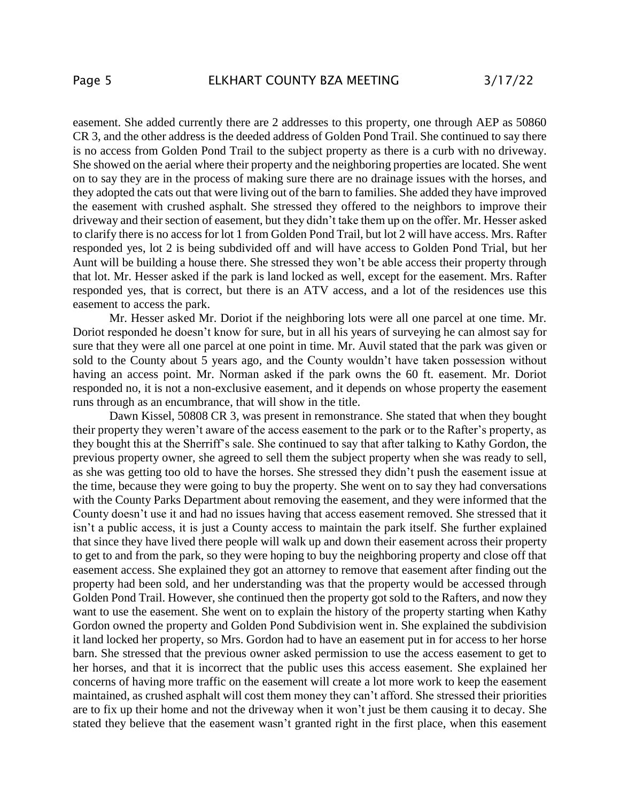easement. She added currently there are 2 addresses to this property, one through AEP as 50860 CR 3, and the other address is the deeded address of Golden Pond Trail. She continued to say there is no access from Golden Pond Trail to the subject property as there is a curb with no driveway. She showed on the aerial where their property and the neighboring properties are located. She went on to say they are in the process of making sure there are no drainage issues with the horses, and they adopted the cats out that were living out of the barn to families. She added they have improved the easement with crushed asphalt. She stressed they offered to the neighbors to improve their driveway and their section of easement, but they didn't take them up on the offer. Mr. Hesser asked to clarify there is no access for lot 1 from Golden Pond Trail, but lot 2 will have access. Mrs. Rafter responded yes, lot 2 is being subdivided off and will have access to Golden Pond Trial, but her Aunt will be building a house there. She stressed they won't be able access their property through that lot. Mr. Hesser asked if the park is land locked as well, except for the easement. Mrs. Rafter responded yes, that is correct, but there is an ATV access, and a lot of the residences use this easement to access the park.

Mr. Hesser asked Mr. Doriot if the neighboring lots were all one parcel at one time. Mr. Doriot responded he doesn't know for sure, but in all his years of surveying he can almost say for sure that they were all one parcel at one point in time. Mr. Auvil stated that the park was given or sold to the County about 5 years ago, and the County wouldn't have taken possession without having an access point. Mr. Norman asked if the park owns the 60 ft. easement. Mr. Doriot responded no, it is not a non-exclusive easement, and it depends on whose property the easement runs through as an encumbrance, that will show in the title.

Dawn Kissel, 50808 CR 3, was present in remonstrance. She stated that when they bought their property they weren't aware of the access easement to the park or to the Rafter's property, as they bought this at the Sherriff's sale. She continued to say that after talking to Kathy Gordon, the previous property owner, she agreed to sell them the subject property when she was ready to sell, as she was getting too old to have the horses. She stressed they didn't push the easement issue at the time, because they were going to buy the property. She went on to say they had conversations with the County Parks Department about removing the easement, and they were informed that the County doesn't use it and had no issues having that access easement removed. She stressed that it isn't a public access, it is just a County access to maintain the park itself. She further explained that since they have lived there people will walk up and down their easement across their property to get to and from the park, so they were hoping to buy the neighboring property and close off that easement access. She explained they got an attorney to remove that easement after finding out the property had been sold, and her understanding was that the property would be accessed through Golden Pond Trail. However, she continued then the property got sold to the Rafters, and now they want to use the easement. She went on to explain the history of the property starting when Kathy Gordon owned the property and Golden Pond Subdivision went in. She explained the subdivision it land locked her property, so Mrs. Gordon had to have an easement put in for access to her horse barn. She stressed that the previous owner asked permission to use the access easement to get to her horses, and that it is incorrect that the public uses this access easement. She explained her concerns of having more traffic on the easement will create a lot more work to keep the easement maintained, as crushed asphalt will cost them money they can't afford. She stressed their priorities are to fix up their home and not the driveway when it won't just be them causing it to decay. She stated they believe that the easement wasn't granted right in the first place, when this easement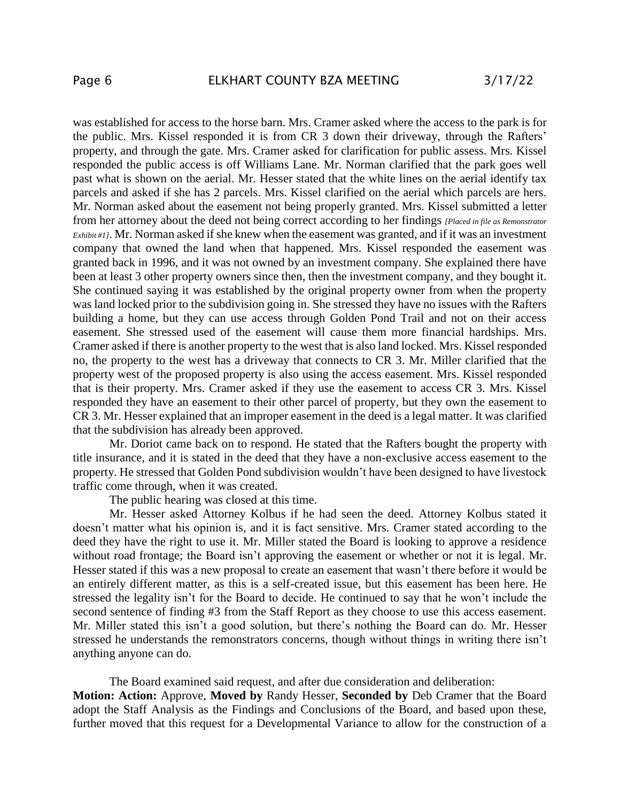was established for access to the horse barn. Mrs. Cramer asked where the access to the park is for the public. Mrs. Kissel responded it is from CR 3 down their driveway, through the Rafters' property, and through the gate. Mrs. Cramer asked for clarification for public assess. Mrs. Kissel responded the public access is off Williams Lane. Mr. Norman clarified that the park goes well past what is shown on the aerial. Mr. Hesser stated that the white lines on the aerial identify tax parcels and asked if she has 2 parcels. Mrs. Kissel clarified on the aerial which parcels are hers. Mr. Norman asked about the easement not being properly granted. Mrs. Kissel submitted a letter from her attorney about the deed not being correct according to her findings *[Placed in file as Remonstrator Exhibit #1]*. Mr. Norman asked if she knew when the easement was granted, and if it was an investment company that owned the land when that happened. Mrs. Kissel responded the easement was granted back in 1996, and it was not owned by an investment company. She explained there have been at least 3 other property owners since then, then the investment company, and they bought it. She continued saying it was established by the original property owner from when the property was land locked prior to the subdivision going in. She stressed they have no issues with the Rafters building a home, but they can use access through Golden Pond Trail and not on their access easement. She stressed used of the easement will cause them more financial hardships. Mrs. Cramer asked if there is another property to the west that is also land locked. Mrs. Kissel responded no, the property to the west has a driveway that connects to CR 3. Mr. Miller clarified that the property west of the proposed property is also using the access easement. Mrs. Kissel responded that is their property. Mrs. Cramer asked if they use the easement to access CR 3. Mrs. Kissel responded they have an easement to their other parcel of property, but they own the easement to CR 3. Mr. Hesser explained that an improper easement in the deed is a legal matter. It was clarified that the subdivision has already been approved.

Mr. Doriot came back on to respond. He stated that the Rafters bought the property with title insurance, and it is stated in the deed that they have a non-exclusive access easement to the property. He stressed that Golden Pond subdivision wouldn't have been designed to have livestock traffic come through, when it was created.

The public hearing was closed at this time.

Mr. Hesser asked Attorney Kolbus if he had seen the deed. Attorney Kolbus stated it doesn't matter what his opinion is, and it is fact sensitive. Mrs. Cramer stated according to the deed they have the right to use it. Mr. Miller stated the Board is looking to approve a residence without road frontage; the Board isn't approving the easement or whether or not it is legal. Mr. Hesser stated if this was a new proposal to create an easement that wasn't there before it would be an entirely different matter, as this is a self-created issue, but this easement has been here. He stressed the legality isn't for the Board to decide. He continued to say that he won't include the second sentence of finding #3 from the Staff Report as they choose to use this access easement. Mr. Miller stated this isn't a good solution, but there's nothing the Board can do. Mr. Hesser stressed he understands the remonstrators concerns, though without things in writing there isn't anything anyone can do.

The Board examined said request, and after due consideration and deliberation: **Motion: Action:** Approve, **Moved by** Randy Hesser, **Seconded by** Deb Cramer that the Board adopt the Staff Analysis as the Findings and Conclusions of the Board, and based upon these, further moved that this request for a Developmental Variance to allow for the construction of a